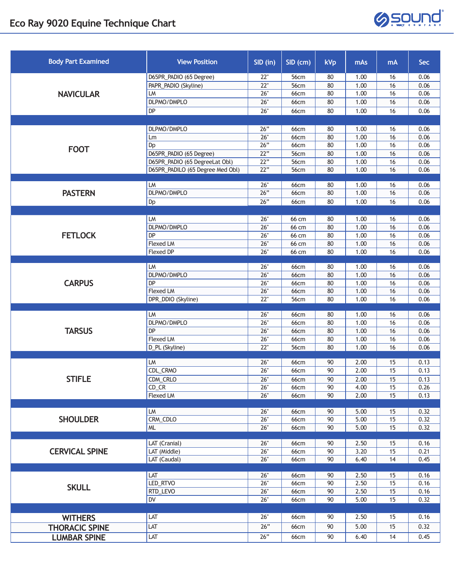

| <b>Body Part Examined</b> | <b>View Position</b>             | SID (in)   | SID (cm)                   | kVp      | mAs          | <b>mA</b> | Sec          |
|---------------------------|----------------------------------|------------|----------------------------|----------|--------------|-----------|--------------|
| <b>NAVICULAR</b>          | D65PR_PADIO (65 Degree)          | 22"        | 56cm                       | 80       | 1.00         | 16        | 0.06         |
|                           | PAPR_PADIO (Skyline)             | 22"        | 56cm                       | 80       | 1.00         | 16        | 0.06         |
|                           | LM                               | 26"        | <b>66cm</b>                | 80       | 1.00         | 16        | 0.06         |
|                           | DLPMO/DMPLO                      | 26"        | <b>66cm</b>                | 80       | 1.00         | 16        | 0.06         |
|                           | DP                               | 26"        | 66cm                       | 80       | 1.00         | 16        | 0.06         |
|                           |                                  |            |                            |          |              |           |              |
| <b>FOOT</b>               | DLPMO/DMPLO                      | 26"        | 66cm                       | 80       | 1.00         | 16        | 0.06         |
|                           | Lm                               | 26"        | <b>66cm</b>                | 80       | 1.00         | 16        | 0.06         |
|                           | Dp<br>D65PR_PADIO (65 Degree)    | 26"<br>22" | <b>66cm</b><br><b>56cm</b> | 80<br>80 | 1.00         | 16        | 0.06<br>0.06 |
|                           | D65PR_PADIO (65 DegreeLat Obl)   | 22"        | 56cm                       | 80       | 1.00<br>1.00 | 16<br>16  | 0.06         |
|                           | D65PR_PADILO (65 Degree Med Obl) | 22"        | 56cm                       | 80       | 1.00         | 16        | 0.06         |
|                           |                                  |            |                            |          |              |           |              |
| <b>PASTERN</b>            | LM                               | 26"        | 66cm                       | 80       | 1.00         | 16        | 0.06         |
|                           | DLPMO/DMPLO                      | 26"        | <b>66cm</b>                | 80       | 1.00         | 16        | 0.06         |
|                           | Dp                               | 26"        | 66cm                       | 80       | 1.00         | 16        | 0.06         |
|                           |                                  |            |                            |          |              |           |              |
|                           | LM                               | 26"        | 66 cm                      | 80       | 1.00         | 16        | 0.06         |
|                           | DLPMO/DMPLO                      | 26"        | 66 cm                      | 80       | 1.00         | 16        | 0.06         |
| <b>FETLOCK</b>            | DP                               | 26"        | $66 \text{ cm}$            | 80       | 1.00         | 16        | 0.06         |
|                           | <b>Flexed LM</b>                 | 26"        | $66 \text{ cm}$            | 80       | 1.00         | 16        | 0.06         |
|                           | <b>Flexed DP</b>                 | 26"        | 66 cm                      | 80       | 1.00         | 16        | 0.06         |
| <b>CARPUS</b>             | LM                               | 26"        | <b>66cm</b>                | 80       | 1.00         | 16        | 0.06         |
|                           | DLPMO/DMPLO                      | 26"        | 66cm                       | 80       | 1.00         | 16        | 0.06         |
|                           | DP                               | 26"        | <b>66cm</b>                | 80       | 1.00         | 16        | 0.06         |
|                           | Flexed LM                        | 26"        | <b>66cm</b>                | 80       | 1.00         | 16        | 0.06         |
|                           | DPR_DDIO (Skyline)               | 22"        | 56cm                       | 80       | 1.00         | 16        | 0.06         |
|                           |                                  |            |                            |          |              |           |              |
| <b>TARSUS</b>             | LM                               | 26"        | 66cm                       | 80       | 1.00         | 16        | 0.06         |
|                           | DLPMO/DMPLO<br>DP                | 26"<br>26" | <b>66cm</b><br><b>66cm</b> | 80<br>80 | 1.00<br>1.00 | 16<br>16  | 0.06<br>0.06 |
|                           | Flexed LM                        | 26"        | <b>66cm</b>                | 80       | 1.00         | 16        | 0.06         |
|                           | D_PL (Skyline)                   | 22"        | 56cm                       | 80       | 1.00         | 16        | 0.06         |
|                           |                                  |            |                            |          |              |           |              |
| <b>STIFLE</b>             | LM                               | 26"        | 66cm                       | 90       | 2.00         | 15        | 0.13         |
|                           | CDL_CRMO                         | 26"        | 66cm                       | 90       | 2.00         | 15        | 0.13         |
|                           | CDM_CRLO                         | 26"        | <b>66cm</b>                | 90       | 2.00         | 15        | 0.13         |
|                           | CD CR                            | 26"        | 66cm                       | 90       | 4.00         | 15        | 0.26         |
|                           | Flexed LM                        | 26"        | <b>66cm</b>                | 90       | 2.00         | 15        | 0.13         |
|                           |                                  |            |                            |          |              |           |              |
| <b>SHOULDER</b>           | LM<br>CRM_CDLO                   | 26"<br>26" | 66cm<br><b>66cm</b>        | 90<br>90 | 5.00<br>5.00 | 15<br>15  | 0.32<br>0.32 |
|                           | ML                               | 26"        | 66cm                       | 90       | 5.00         | 15        | 0.32         |
|                           |                                  |            |                            |          |              |           |              |
|                           | LAT (Cranial)                    | 26"        | 66cm                       | 90       | 2.50         | 15        | 0.16         |
| <b>CERVICAL SPINE</b>     | LAT (Middle)                     | 26"        | <b>66cm</b>                | 90       | 3.20         | 15        | 0.21         |
|                           | LAT (Caudal)                     | 26"        | <b>66cm</b>                | 90       | 6.40         | 14        | 0.45         |
|                           |                                  |            |                            |          |              |           |              |
|                           | LAT                              | 26"        | 66cm                       | 90       | 2.50         | 15        | 0.16         |
| <b>SKULL</b>              | LED_RTVO                         | 26"        | <b>66cm</b>                | 90       | 2.50         | 15        | 0.16         |
|                           | RTD_LEVO<br><b>DV</b>            | 26"<br>26" | <b>66cm</b>                | 90       | 2.50         | 15        | 0.16         |
|                           |                                  |            | 66cm                       | 90       | 5.00         | 15        | 0.32         |
|                           |                                  |            |                            |          |              |           |              |
| <b>WITHERS</b>            | LAT                              | 26"        | 66cm                       | 90       | 2.50         | 15        | 0.16         |
| <b>THORACIC SPINE</b>     | LAT                              | 26"        | <b>66cm</b>                | 90       | 5.00         | 15        | 0.32         |
| <b>LUMBAR SPINE</b>       | LAT                              | 26"        | 66cm                       | 90       | 6.40         | 14        | 0.45         |